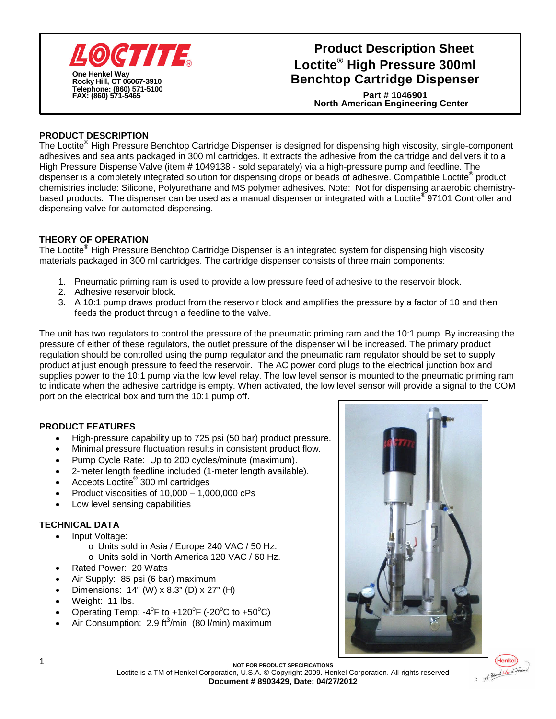

## **Loctite® High Pressure 300ml Benchtop Cartridge Dispenser Product Description Sheet**

**North American Engineering Center Part # 1046901**

### **PRODUCT DESCRIPTION**

The Loctite<sup>®</sup> High Pressure Benchtop Cartridge Dispenser is designed for dispensing high viscosity, single-component adhesives and sealants packaged in 300 ml cartridges. It extracts the adhesive from the cartridge and delivers it to a High Pressure Dispense Valve (item # 1049138 - sold separately) via a high-pressure pump and feedline. The dispenser is a completely integrated solution for dispensing drops or beads of adhesive. Compatible Loctite<sup>®</sup> product chemistries include: Silicone, Polyurethane and MS polymer adhesives. Note: Not for dispensing anaerobic chemistrybased products. The dispenser can be used as a manual dispenser or integrated with a Loctite®97101 Controller and dispensing valve for automated dispensing.

#### **THEORY OF OPERATION**

The Loctite® High Pressure Benchtop Cartridge Dispenser is an integrated system for dispensing high viscosity materials packaged in 300 ml cartridges. The cartridge dispenser consists of three main components:

- 1. Pneumatic priming ram is used to provide a low pressure feed of adhesive to the reservoir block.
- 2. Adhesive reservoir block.
- 3. A 10:1 pump draws product from the reservoir block and amplifies the pressure by a factor of 10 and then feeds the product through a feedline to the valve.

The unit has two regulators to control the pressure of the pneumatic priming ram and the 10:1 pump. By increasing the pressure of either of these regulators, the outlet pressure of the dispenser will be increased. The primary product regulation should be controlled using the pump regulator and the pneumatic ram regulator should be set to supply product at just enough pressure to feed the reservoir. The AC power cord plugs to the electrical junction box and supplies power to the 10:1 pump via the low level relay. The low level sensor is mounted to the pneumatic priming ram to indicate when the adhesive cartridge is empty. When activated, the low level sensor will provide a signal to the COM port on the electrical box and turn the 10:1 pump off.

#### **PRODUCT FEATURES**

- High-pressure capability up to 725 psi (50 bar) product pressure.
- Minimal pressure fluctuation results in consistent product flow.
- Pump Cycle Rate: Up to 200 cycles/minute (maximum).
- 2-meter length feedline included (1-meter length available).
- Accepts Loctite<sup>®</sup> 300 ml cartridges
- Product viscosities of 10,000 –1,000,000 cPs
- Low level sensing capabilities

#### **TECHNICAL DATA**

- Input Voltage:
	- o Units sold in Asia / Europe 240 VAC / 50 Hz.
	- o Units sold in North America 120 VAC / 60 Hz.
- Rated Power: 20 Watts
- Air Supply: 85 psi (6 bar) maximum
- Dimensions:  $14$ " (W) x 8.3" (D) x 27" (H)
- Weight: 11 lbs.
- Operating Temp: -4 $^{\circ}$ F to +120 $^{\circ}$ F (-20 $^{\circ}$ C to +50 $^{\circ}$ C)
- Air Consumption:  $2.9 \text{ ft}^3/\text{min}$  (80  $\text{l/min}$ ) maximum





Loctite is a TM of Henkel Corporation, U.S.A. © Copyright 2009. Henkel Corporation. All rights reserved **Document # 8903429, Date: 04/27/2012**